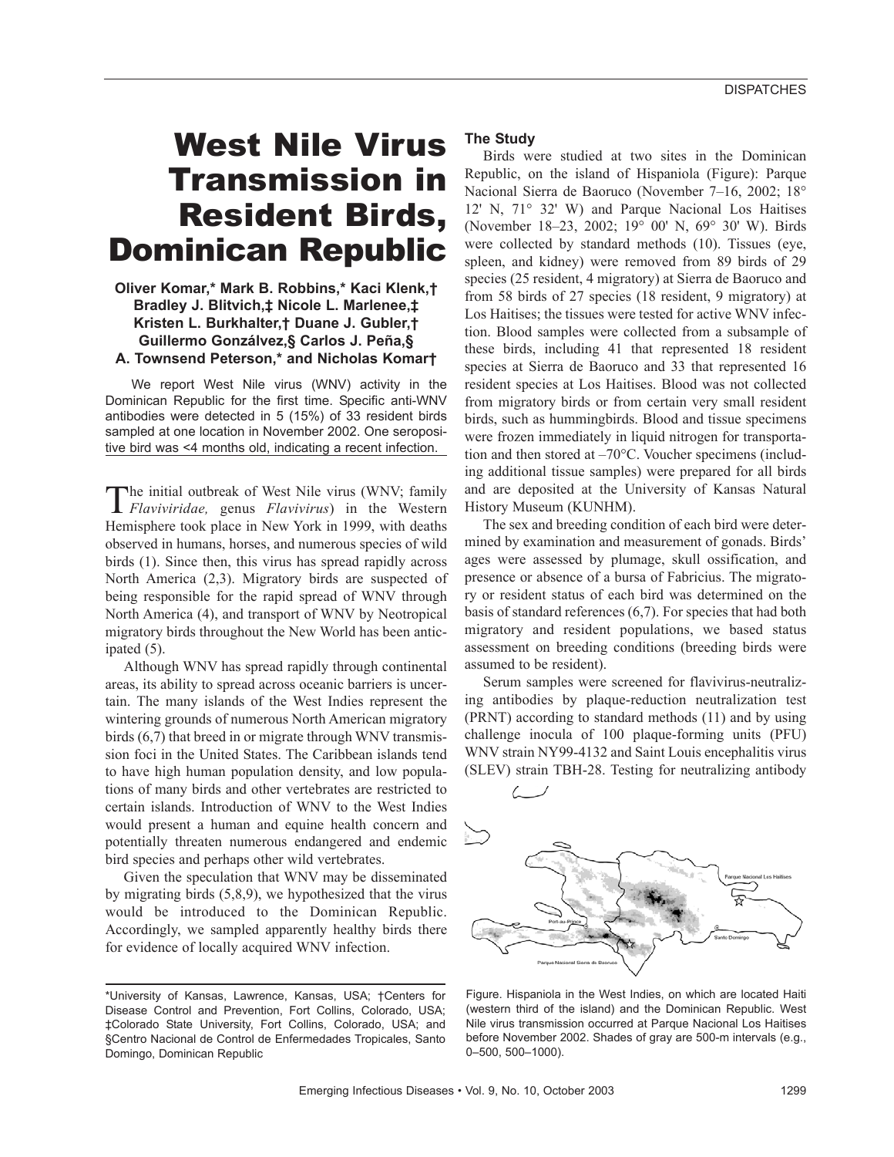# West Nile Virus Transmission in Resident Birds, Dominican Republic

## **Oliver Komar,\* Mark B. Robbins,\* Kaci Klenk,† Bradley J. Blitvich,‡ Nicole L. Marlenee,‡ Kristen L. Burkhalter,† Duane J. Gubler,† Guillermo Gonzálvez,§ Carlos J. Peña,§ A. Townsend Peterson,\* and Nicholas Komar†**

We report West Nile virus (WNV) activity in the Dominican Republic for the first time. Specific anti-WNV antibodies were detected in 5 (15%) of 33 resident birds sampled at one location in November 2002. One seropositive bird was <4 months old, indicating a recent infection.

The initial outbreak of West Nile virus (WNV; family *Flaviviridae,* genus *Flavivirus*) in the Western Hemisphere took place in New York in 1999, with deaths observed in humans, horses, and numerous species of wild birds (1). Since then, this virus has spread rapidly across North America (2,3). Migratory birds are suspected of being responsible for the rapid spread of WNV through North America (4), and transport of WNV by Neotropical migratory birds throughout the New World has been anticipated (5).

Although WNV has spread rapidly through continental areas, its ability to spread across oceanic barriers is uncertain. The many islands of the West Indies represent the wintering grounds of numerous North American migratory birds (6,7) that breed in or migrate through WNV transmission foci in the United States. The Caribbean islands tend to have high human population density, and low populations of many birds and other vertebrates are restricted to certain islands. Introduction of WNV to the West Indies would present a human and equine health concern and potentially threaten numerous endangered and endemic bird species and perhaps other wild vertebrates.

Given the speculation that WNV may be disseminated by migrating birds (5,8,9), we hypothesized that the virus would be introduced to the Dominican Republic. Accordingly, we sampled apparently healthy birds there for evidence of locally acquired WNV infection.

## **The Study**

Birds were studied at two sites in the Dominican Republic, on the island of Hispaniola (Figure): Parque Nacional Sierra de Baoruco (November 7–16, 2002; 18° 12' N, 71° 32' W) and Parque Nacional Los Haitises (November 18–23, 2002; 19° 00' N, 69° 30' W). Birds were collected by standard methods (10). Tissues (eye, spleen, and kidney) were removed from 89 birds of 29 species (25 resident, 4 migratory) at Sierra de Baoruco and from 58 birds of 27 species (18 resident, 9 migratory) at Los Haitises; the tissues were tested for active WNV infection. Blood samples were collected from a subsample of these birds, including 41 that represented 18 resident species at Sierra de Baoruco and 33 that represented 16 resident species at Los Haitises. Blood was not collected from migratory birds or from certain very small resident birds, such as hummingbirds. Blood and tissue specimens were frozen immediately in liquid nitrogen for transportation and then stored at –70°C. Voucher specimens (including additional tissue samples) were prepared for all birds and are deposited at the University of Kansas Natural History Museum (KUNHM).

The sex and breeding condition of each bird were determined by examination and measurement of gonads. Birds' ages were assessed by plumage, skull ossification, and presence or absence of a bursa of Fabricius. The migratory or resident status of each bird was determined on the basis of standard references (6,7). For species that had both migratory and resident populations, we based status assessment on breeding conditions (breeding birds were assumed to be resident).

Serum samples were screened for flavivirus-neutralizing antibodies by plaque-reduction neutralization test (PRNT) according to standard methods (11) and by using challenge inocula of 100 plaque-forming units (PFU) WNV strain NY99-4132 and Saint Louis encephalitis virus (SLEV) strain TBH-28. Testing for neutralizing antibody



Figure. Hispaniola in the West Indies, on which are located Haiti (western third of the island) and the Dominican Republic. West Nile virus transmission occurred at Parque Nacional Los Haitises before November 2002. Shades of gray are 500-m intervals (e.g., 0–500, 500–1000).

<sup>\*</sup>University of Kansas, Lawrence, Kansas, USA; †Centers for Disease Control and Prevention, Fort Collins, Colorado, USA; ‡Colorado State University, Fort Collins, Colorado, USA; and §Centro Nacional de Control de Enfermedades Tropicales, Santo Domingo, Dominican Republic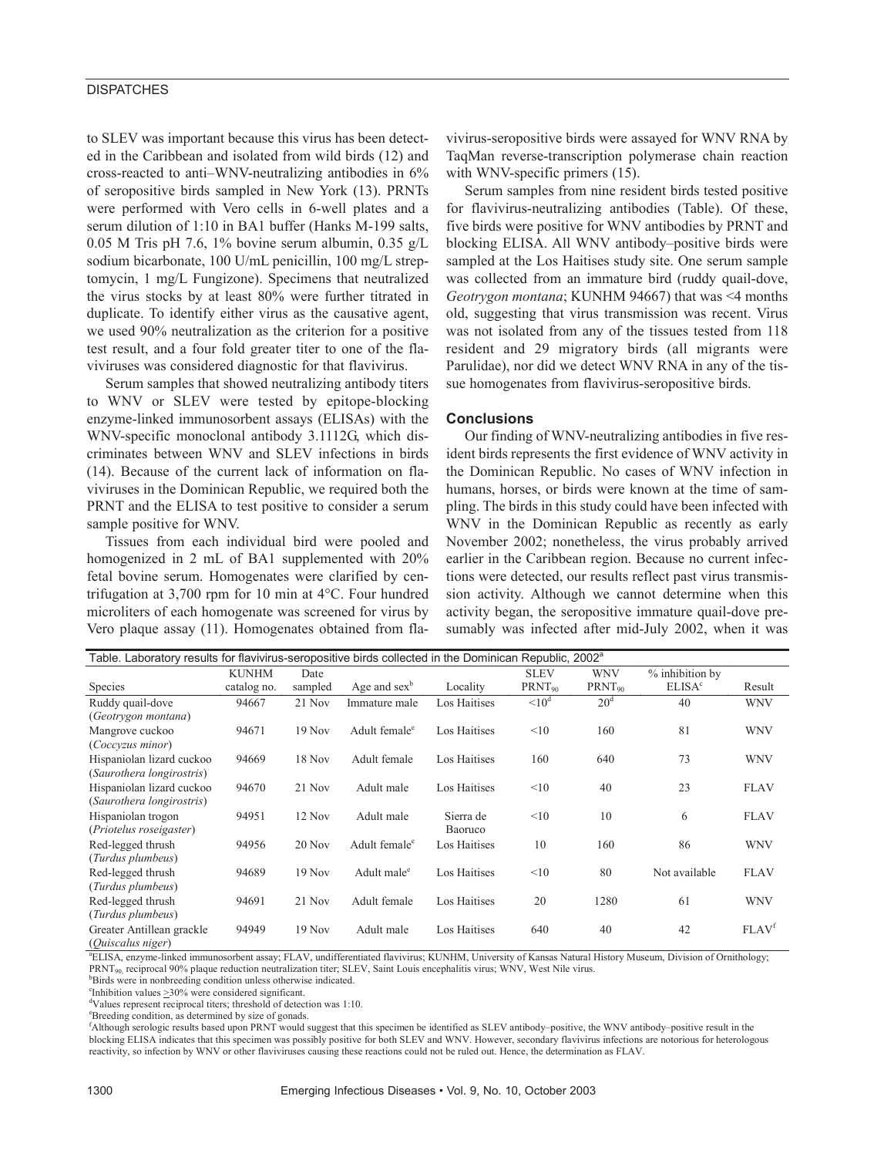## **DISPATCHES**

to SLEV was important because this virus has been detected in the Caribbean and isolated from wild birds (12) and cross-reacted to anti–WNV-neutralizing antibodies in 6% of seropositive birds sampled in New York (13). PRNTs were performed with Vero cells in 6-well plates and a serum dilution of 1:10 in BA1 buffer (Hanks M-199 salts, 0.05 M Tris pH 7.6, 1% bovine serum albumin, 0.35  $g/L$ sodium bicarbonate, 100 U/mL penicillin, 100 mg/L streptomycin, 1 mg/L Fungizone). Specimens that neutralized the virus stocks by at least 80% were further titrated in duplicate. To identify either virus as the causative agent, we used 90% neutralization as the criterion for a positive test result, and a four fold greater titer to one of the flaviviruses was considered diagnostic for that flavivirus.

Serum samples that showed neutralizing antibody titers to WNV or SLEV were tested by epitope-blocking enzyme-linked immunosorbent assays (ELISAs) with the WNV-specific monoclonal antibody 3.1112G, which discriminates between WNV and SLEV infections in birds (14). Because of the current lack of information on flaviviruses in the Dominican Republic, we required both the PRNT and the ELISA to test positive to consider a serum sample positive for WNV.

Tissues from each individual bird were pooled and homogenized in 2 mL of BA1 supplemented with 20% fetal bovine serum. Homogenates were clarified by centrifugation at 3,700 rpm for 10 min at 4°C. Four hundred microliters of each homogenate was screened for virus by Vero plaque assay (11). Homogenates obtained from flavivirus-seropositive birds were assayed for WNV RNA by TaqMan reverse-transcription polymerase chain reaction with WNV-specific primers  $(15)$ .

Serum samples from nine resident birds tested positive for flavivirus-neutralizing antibodies (Table). Of these, five birds were positive for WNV antibodies by PRNT and blocking ELISA. All WNV antibody–positive birds were sampled at the Los Haitises study site. One serum sample was collected from an immature bird (ruddy quail-dove, *Geotrygon montana*; KUNHM 94667) that was <4 months old, suggesting that virus transmission was recent. Virus was not isolated from any of the tissues tested from 118 resident and 29 migratory birds (all migrants were Parulidae), nor did we detect WNV RNA in any of the tissue homogenates from flavivirus-seropositive birds.

### **Conclusions**

Our finding of WNV-neutralizing antibodies in five resident birds represents the first evidence of WNV activity in the Dominican Republic. No cases of WNV infection in humans, horses, or birds were known at the time of sampling. The birds in this study could have been infected with WNV in the Dominican Republic as recently as early November 2002; nonetheless, the virus probably arrived earlier in the Caribbean region. Because no current infections were detected, our results reflect past virus transmission activity. Although we cannot determine when this activity began, the seropositive immature quail-dove presumably was infected after mid-July 2002, when it was

| Table. Laboratory results for flavivirus-seropositive birds collected in the Dominican Republic, 2002 <sup>a</sup> |              |          |                           |              |             |                 |                          |                   |
|--------------------------------------------------------------------------------------------------------------------|--------------|----------|---------------------------|--------------|-------------|-----------------|--------------------------|-------------------|
|                                                                                                                    | <b>KUNHM</b> | Date     |                           |              | <b>SLEV</b> | <b>WNV</b>      | % inhibition by          |                   |
| <b>Species</b>                                                                                                     | catalog no.  | sampled  | Age and $sex^b$           | Locality     | $PRNT_{90}$ | $PRNT_{90}$     | <b>ELISA<sup>c</sup></b> | Result            |
| Ruddy quail-dove                                                                                                   | 94667        | 21 Nov   | Immature male             | Los Haitises | $\leq 10^d$ | 20 <sup>d</sup> | 40                       | <b>WNV</b>        |
| (Geotrygon montana)                                                                                                |              |          |                           |              |             |                 |                          |                   |
| Mangrove cuckoo                                                                                                    | 94671        | $19$ Nov | Adult female <sup>e</sup> | Los Haitises | <10         | 160             | 81                       | <b>WNV</b>        |
| (Coccyzus minor)                                                                                                   |              |          |                           |              |             |                 |                          |                   |
| Hispaniolan lizard cuckoo                                                                                          | 94669        | 18 Nov   | Adult female              | Los Haitises | 160         | 640             | 73                       | <b>WNV</b>        |
| (Saurothera longirostris)                                                                                          |              |          |                           |              |             |                 |                          |                   |
| Hispaniolan lizard cuckoo                                                                                          | 94670        | 21 Nov   | Adult male                | Los Haitises | <10         | 40              | 23                       | <b>FLAV</b>       |
| (Saurothera longirostris)                                                                                          |              |          |                           |              |             |                 |                          |                   |
| Hispaniolan trogon                                                                                                 | 94951        | 12 Nov   | Adult male                | Sierra de    | <10         | 10              | 6                        | <b>FLAV</b>       |
| (Priotelus roseigaster)                                                                                            |              |          |                           | Baoruco      |             |                 |                          |                   |
| Red-legged thrush                                                                                                  | 94956        | 20 Nov   | Adult female <sup>e</sup> | Los Haitises | 10          | 160             | 86                       | <b>WNV</b>        |
| (Turdus plumbeus)                                                                                                  |              |          |                           |              |             |                 |                          |                   |
| Red-legged thrush                                                                                                  | 94689        | $19$ Nov | Adult male <sup>e</sup>   | Los Haitises | <10         | 80              | Not available            | <b>FLAV</b>       |
| (Turdus plumbeus)                                                                                                  |              |          |                           |              |             |                 |                          |                   |
| Red-legged thrush                                                                                                  | 94691        | 21 Nov   | Adult female              | Los Haitises | 20          | 1280            | 61                       | <b>WNV</b>        |
| (Turdus plumbeus)                                                                                                  |              |          |                           |              |             |                 |                          |                   |
| Greater Antillean grackle                                                                                          | 94949        | $19$ Nov | Adult male                | Los Haitises | 640         | 40              | 42                       | FLAV <sup>f</sup> |
| (Ouiscalus niger)                                                                                                  |              |          |                           |              |             |                 |                          |                   |

a ELISA, enzyme-linked immunosorbent assay; FLAV, undifferentiated flavivirus; KUNHM, University of Kansas Natural History Museum, Division of Ornithology; PRNT<sub>90</sub>, reciprocal 90% plaque reduction neutralization titer; SLEV, Saint Louis encephalitis virus; WNV, West Nile virus.

<sup>b</sup>Birds were in nonbreeding condition unless otherwise indicated.

 $\text{F}$ Inhibition values  $\geq$ 30% were considered significant.

d Values represent reciprocal titers; threshold of detection was 1:10.

e Breeding condition, as determined by size of gonads.

f Although serologic results based upon PRNT would suggest that this specimen be identified as SLEV antibody–positive, the WNV antibody–positive result in the blocking ELISA indicates that this specimen was possibly positive for both SLEV and WNV. However, secondary flavivirus infections are notorious for heterologous reactivity, so infection by WNV or other flaviviruses causing these reactions could not be ruled out. Hence, the determination as FLAV.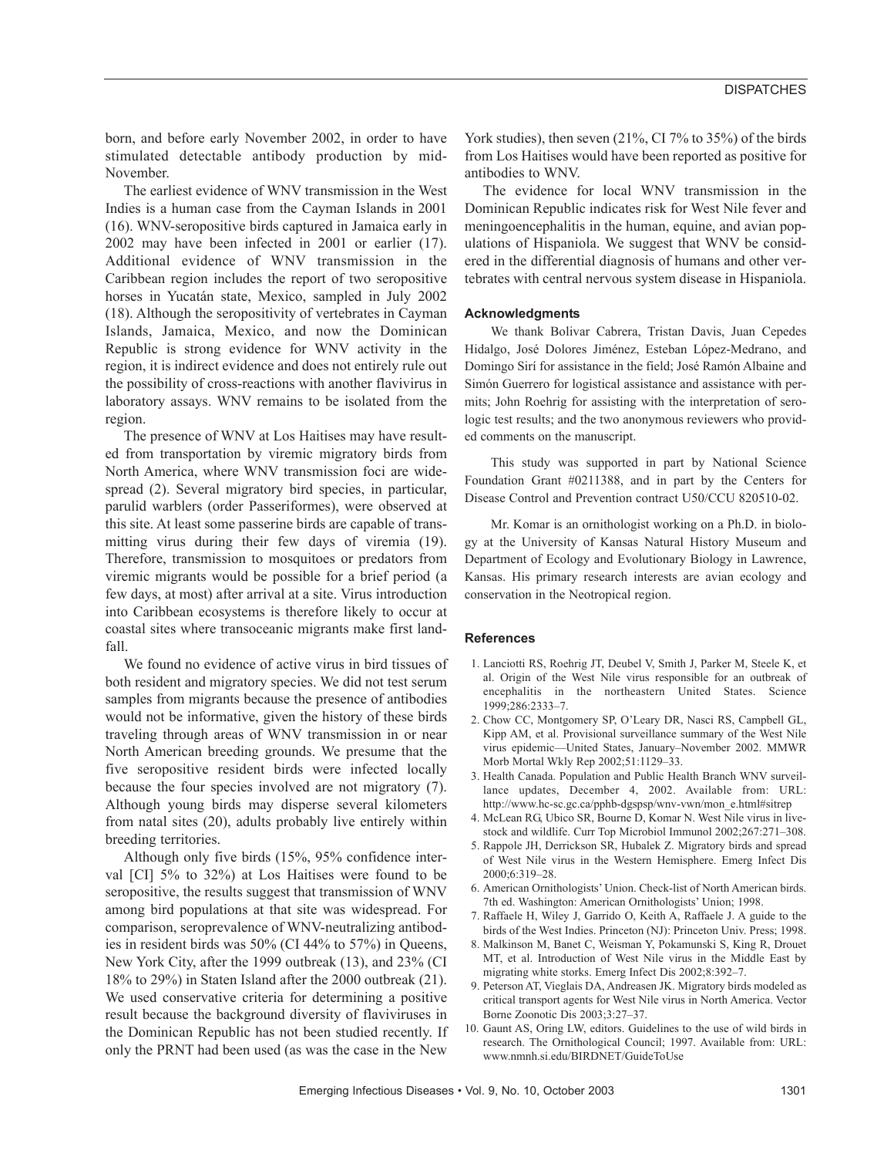born, and before early November 2002, in order to have stimulated detectable antibody production by mid-November.

The earliest evidence of WNV transmission in the West Indies is a human case from the Cayman Islands in 2001 (16). WNV-seropositive birds captured in Jamaica early in 2002 may have been infected in 2001 or earlier (17). Additional evidence of WNV transmission in the Caribbean region includes the report of two seropositive horses in Yucatán state, Mexico, sampled in July 2002 (18). Although the seropositivity of vertebrates in Cayman Islands, Jamaica, Mexico, and now the Dominican Republic is strong evidence for WNV activity in the region, it is indirect evidence and does not entirely rule out the possibility of cross-reactions with another flavivirus in laboratory assays. WNV remains to be isolated from the region.

The presence of WNV at Los Haitises may have resulted from transportation by viremic migratory birds from North America, where WNV transmission foci are widespread (2). Several migratory bird species, in particular, parulid warblers (order Passeriformes), were observed at this site. At least some passerine birds are capable of transmitting virus during their few days of viremia (19). Therefore, transmission to mosquitoes or predators from viremic migrants would be possible for a brief period (a few days, at most) after arrival at a site. Virus introduction into Caribbean ecosystems is therefore likely to occur at coastal sites where transoceanic migrants make first landfall.

We found no evidence of active virus in bird tissues of both resident and migratory species. We did not test serum samples from migrants because the presence of antibodies would not be informative, given the history of these birds traveling through areas of WNV transmission in or near North American breeding grounds. We presume that the five seropositive resident birds were infected locally because the four species involved are not migratory (7). Although young birds may disperse several kilometers from natal sites (20), adults probably live entirely within breeding territories.

Although only five birds (15%, 95% confidence interval [CI] 5% to 32%) at Los Haitises were found to be seropositive, the results suggest that transmission of WNV among bird populations at that site was widespread. For comparison, seroprevalence of WNV-neutralizing antibodies in resident birds was 50% (CI 44% to 57%) in Queens, New York City, after the 1999 outbreak (13), and 23% (CI 18% to 29%) in Staten Island after the 2000 outbreak (21). We used conservative criteria for determining a positive result because the background diversity of flaviviruses in the Dominican Republic has not been studied recently. If only the PRNT had been used (as was the case in the New York studies), then seven (21%, CI 7% to 35%) of the birds from Los Haitises would have been reported as positive for antibodies to WNV.

The evidence for local WNV transmission in the Dominican Republic indicates risk for West Nile fever and meningoencephalitis in the human, equine, and avian populations of Hispaniola. We suggest that WNV be considered in the differential diagnosis of humans and other vertebrates with central nervous system disease in Hispaniola.

#### **Acknowledgments**

We thank Bolivar Cabrera, Tristan Davis, Juan Cepedes Hidalgo, José Dolores Jiménez, Esteban López-Medrano, and Domingo Sirí for assistance in the field; José Ramón Albaine and Simón Guerrero for logistical assistance and assistance with permits; John Roehrig for assisting with the interpretation of serologic test results; and the two anonymous reviewers who provided comments on the manuscript.

This study was supported in part by National Science Foundation Grant #0211388, and in part by the Centers for Disease Control and Prevention contract U50/CCU 820510-02.

Mr. Komar is an ornithologist working on a Ph.D. in biology at the University of Kansas Natural History Museum and Department of Ecology and Evolutionary Biology in Lawrence, Kansas. His primary research interests are avian ecology and conservation in the Neotropical region.

#### **References**

- 1. Lanciotti RS, Roehrig JT, Deubel V, Smith J, Parker M, Steele K, et al. Origin of the West Nile virus responsible for an outbreak of encephalitis in the northeastern United States. Science 1999;286:2333–7.
- 2. Chow CC, Montgomery SP, O'Leary DR, Nasci RS, Campbell GL, Kipp AM, et al. Provisional surveillance summary of the West Nile virus epidemic—United States, January–November 2002. MMWR Morb Mortal Wkly Rep 2002;51:1129–33.
- 3. Health Canada. Population and Public Health Branch WNV surveillance updates, December 4, 2002. Available from: URL: http://www.hc-sc.gc.ca/pphb-dgspsp/wnv-vwn/mon\_e.html#sitrep
- 4. McLean RG, Ubico SR, Bourne D, Komar N. West Nile virus in livestock and wildlife. Curr Top Microbiol Immunol 2002;267:271–308.
- 5. Rappole JH, Derrickson SR, Hubalek Z. Migratory birds and spread of West Nile virus in the Western Hemisphere. Emerg Infect Dis 2000;6:319–28.
- 6. American Ornithologists' Union. Check-list of North American birds. 7th ed. Washington: American Ornithologists' Union; 1998.
- 7. Raffaele H, Wiley J, Garrido O, Keith A, Raffaele J. A guide to the birds of the West Indies. Princeton (NJ): Princeton Univ. Press; 1998.
- 8. Malkinson M, Banet C, Weisman Y, Pokamunski S, King R, Drouet MT, et al. Introduction of West Nile virus in the Middle East by migrating white storks. Emerg Infect Dis 2002;8:392–7.
- 9. Peterson AT, Vieglais DA, Andreasen JK. Migratory birds modeled as critical transport agents for West Nile virus in North America. Vector Borne Zoonotic Dis 2003;3:27–37.
- 10. Gaunt AS, Oring LW, editors. Guidelines to the use of wild birds in research. The Ornithological Council; 1997. Available from: URL: www.nmnh.si.edu/BIRDNET/GuideToUse